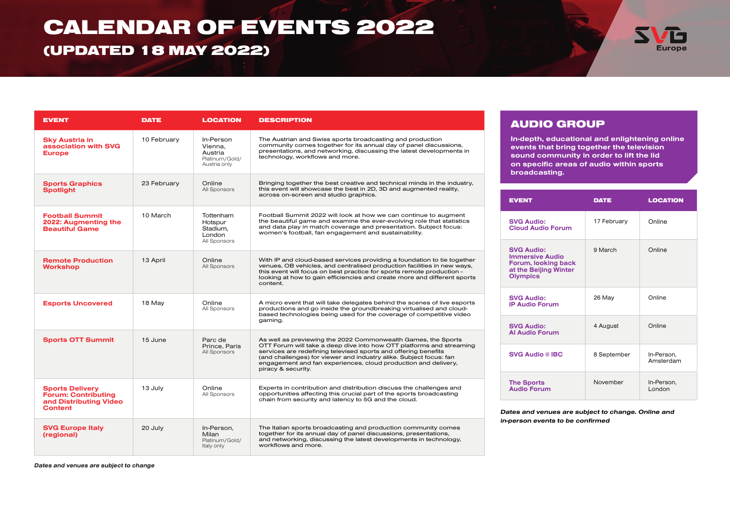# CALENDAR OF EVENTS 2022

### (UPDATED 18 MAY 2022)



| <b>EVENT</b>                                                                                     | <b>DATE</b> | <b>LOCATION</b>                                                   | <b>DESCRIPTION</b>                                                                                                                                                                                                                                                                                                                                                    |
|--------------------------------------------------------------------------------------------------|-------------|-------------------------------------------------------------------|-----------------------------------------------------------------------------------------------------------------------------------------------------------------------------------------------------------------------------------------------------------------------------------------------------------------------------------------------------------------------|
| <b>Sky Austria in</b><br>association with SVG<br><b>Europe</b>                                   | 10 February | In-Person<br>Vienna.<br>Austria<br>Platinum/Gold/<br>Austria only | The Austrian and Swiss sports broadcasting and production<br>community comes together for its annual day of panel discussions,<br>presentations, and networking, discussing the latest developments in<br>technology, workflows and more.                                                                                                                             |
| <b>Sports Graphics</b><br><b>Spotlight</b>                                                       | 23 February | Online<br>All Sponsors                                            | Bringing together the best creative and technical minds in the industry,<br>this event will showcase the best in 2D, 3D and augmented reality,<br>across on-screen and studio graphics.                                                                                                                                                                               |
| <b>Football Summit</b><br>2022: Augmenting the<br><b>Beautiful Game</b>                          | 10 March    | Tottenham<br>Hotspur<br>Stadium,<br>London<br>All Sponsors        | Football Summit 2022 will look at how we can continue to augment<br>the beautiful game and examine the ever-evolving role that statistics<br>and data play in match coverage and presentation. Subject focus:<br>women's football, fan engagement and sustainability.                                                                                                 |
| <b>Remote Production</b><br><b>Workshop</b>                                                      | 13 April    | Online<br>All Sponsors                                            | With IP and cloud-based services providing a foundation to tie together<br>venues, OB vehicles, and centralised production facilities in new ways,<br>this event will focus on best practice for sports remote production -<br>looking at how to gain efficiencies and create more and different sports<br>content.                                                   |
| <b>Esports Uncovered</b>                                                                         | 18 May      | Online<br>All Sponsors                                            | A micro event that will take delegates behind the scenes of live esports<br>productions and go inside the groundbreaking virtualised and cloud-<br>based technologies being used for the coverage of competitive video<br>gaming.                                                                                                                                     |
| <b>Sports OTT Summit</b>                                                                         | 15 June     | Parc de<br>Prince, Paris<br>All Sponsors                          | As well as previewing the 2022 Commonwealth Games, the Sports<br>OTT Forum will take a deep dive into how OTT platforms and streaming<br>services are redefining televised sports and offering benefits<br>(and challenges) for viewer and industry alike. Subject focus: fan<br>engagement and fan experiences, cloud production and delivery,<br>piracy & security. |
| <b>Sports Delivery</b><br><b>Forum: Contributing</b><br>and Distributing Video<br><b>Content</b> | 13 July     | Online<br>All Sponsors                                            | Experts in contribution and distribution discuss the challenges and<br>opportunities affecting this crucial part of the sports broadcasting<br>chain from security and latency to 5G and the cloud.                                                                                                                                                                   |
| <b>SVG Europe Italy</b><br>(regional)                                                            | 20 July     | In-Person.<br>Milan<br>Platinum/Gold/<br>Italy only               | The Italian sports broadcasting and production community comes<br>together for its annual day of panel discussions, presentations,<br>and networking, discussing the latest developments in technology,<br>workflows and more.                                                                                                                                        |

#### AUDIO GROUP

In-depth, educational and enlightening online events that bring together the television sound community in order to lift the lid on specific areas of audio within sports broadcasting.

| <b>EVENT</b>                                                                                                   | <b>DATE</b> | <b>LOCATION</b>         |
|----------------------------------------------------------------------------------------------------------------|-------------|-------------------------|
| <b>SVG Audio:</b><br><b>Cloud Audio Forum</b>                                                                  | 17 February | Online                  |
| <b>SVG Audio:</b><br><b>Immersive Audio</b><br>Forum, looking back<br>at the Beijing Winter<br><b>Olympics</b> | 9 March     | Online                  |
| <b>SVG Audio:</b><br><b>IP Audio Forum</b>                                                                     | 26 May      | Online                  |
| <b>SVG Audio:</b><br><b>Al Audio Forum</b>                                                                     | 4 August    | Online                  |
| <b>SVG Audio @ IBC</b>                                                                                         | 8 September | In-Person,<br>Amsterdam |
| <b>The Sports</b><br><b>Audio Forum</b>                                                                        | November    | In-Person,<br>London    |

Dates and venues are subject to change. Online and in-person events to be confirmed

Dates and venues are subject to change